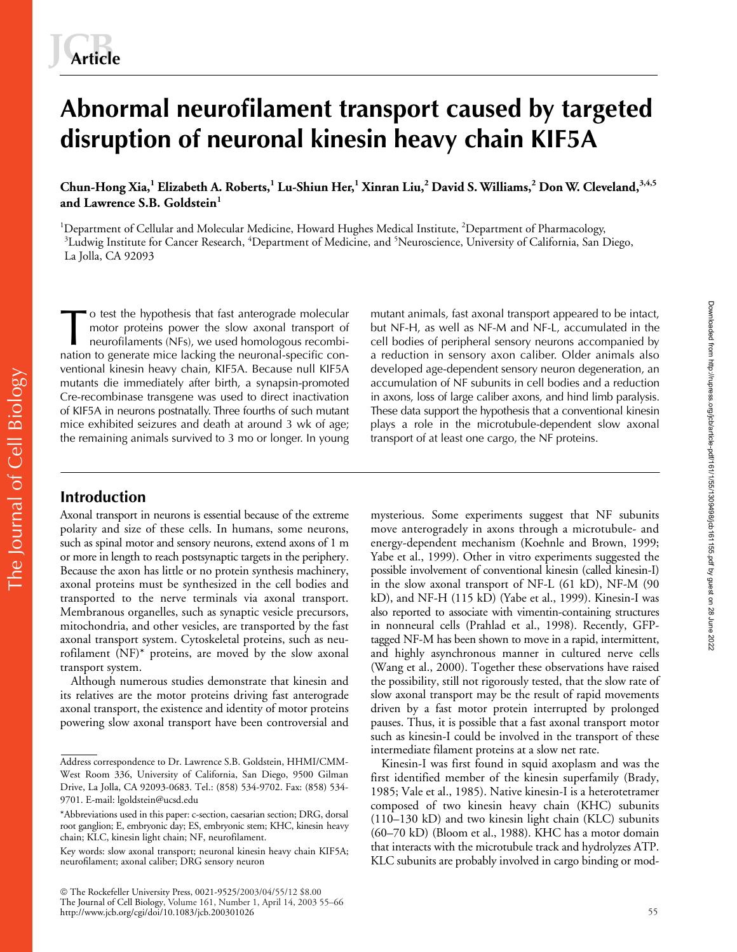# **Abnormal neurofilament transport caused by targeted disruption of neuronal kinesin heavy chain KIF5A**

**Chun-Hong Xia,<sup>1</sup> Elizabeth A. Roberts,<sup>1</sup> Lu-Shiun Her,<sup>1</sup> Xinran Liu,<sup>2</sup> David S. Williams,<sup>2</sup> Don W. Cleveland,3,4,5 and Lawrence S.B. Goldstein<sup>1</sup>**

<sup>1</sup>Department of Cellular and Molecular Medicine, Howard Hughes Medical Institute, <sup>2</sup>Department of Pharmacology,<br><sup>3</sup>Ludwig Institute for Cancer Research, <sup>4</sup>Department of Medicine, and <sup>5</sup>Neuroscience, University of Calif Ludwig Institute for Cancer Research, <sup>4</sup>Department of Medicine, and <sup>5</sup>Neuroscience, University of California, San Diego, La Jolla, CA 92093

o test the hypothesis that fast anterograde molecular motor proteins power the slow axonal transport of neurofilaments (NFs), we used homologous recombination to generate mice lacking the neuronal-specific conventional kinesin heavy chain, KIF5A. Because null KIF5A mutants die immediately after birth, a synapsin-promoted Cre-recombinase transgene was used to direct inactivation of KIF5A in neurons postnatally. Three fourths of such mutant mice exhibited seizures and death at around 3 wk of age; the remaining animals survived to 3 mo or longer. In young The vector of the hypothesis that fast anterograde molecular mutant animals, fast axonal transport appeared to be intact,<br>
motor proteins power the slow axonal transport of but NF-H, as well as NF-M and NF-L, accumulated i

but NF-H, as well as NF-M and NF-L, accumulated in the a reduction in sensory axon caliber. Older animals also developed age-dependent sensory neuron degeneration, an accumulation of NF subunits in cell bodies and a reduction in axons, loss of large caliber axons, and hind limb paralysis. These data support the hypothesis that a conventional kinesin plays a role in the microtubule-dependent slow axonal transport of at least one cargo, the NF proteins.

# **Introduction**

Axonal transport in neurons is essential because of the extreme polarity and size of these cells. In humans, some neurons, such as spinal motor and sensory neurons, extend axons of 1 m or more in length to reach postsynaptic targets in the periphery. Because the axon has little or no protein synthesis machinery, axonal proteins must be synthesized in the cell bodies and transported to the nerve terminals via axonal transport. Membranous organelles, such as synaptic vesicle precursors, mitochondria, and other vesicles, are transported by the fast axonal transport system. Cytoskeletal proteins, such as neurofilament (NF)\* proteins, are moved by the slow axonal transport system.

Although numerous studies demonstrate that kinesin and its relatives are the motor proteins driving fast anterograde axonal transport, the existence and identity of motor proteins powering slow axonal transport have been controversial and mysterious. Some experiments suggest that NF subunits move anterogradely in axons through a microtubule- and energy-dependent mechanism (Koehnle and Brown, 1999; Yabe et al., 1999). Other in vitro experiments suggested the possible involvement of conventional kinesin (called kinesin-I) in the slow axonal transport of NF-L (61 kD), NF-M (90 kD), and NF-H (115 kD) (Yabe et al., 1999). Kinesin-I was also reported to associate with vimentin-containing structures in nonneural cells (Prahlad et al., 1998). Recently, GFPtagged NF-M has been shown to move in a rapid, intermittent, and highly asynchronous manner in cultured nerve cells (Wang et al., 2000). Together these observations have raised the possibility, still not rigorously tested, that the slow rate of slow axonal transport may be the result of rapid movements driven by a fast motor protein interrupted by prolonged pauses. Thus, it is possible that a fast axonal transport motor such as kinesin-I could be involved in the transport of these intermediate filament proteins at a slow net rate.

Kinesin-I was first found in squid axoplasm and was the first identified member of the kinesin superfamily (Brady, 1985; Vale et al., 1985). Native kinesin-I is a heterotetramer composed of two kinesin heavy chain (KHC) subunits (110–130 kD) and two kinesin light chain (KLC) subunits (60–70 kD) (Bloom et al., 1988). KHC has a motor domain that interacts with the microtubule track and hydrolyzes ATP. KLC subunits are probably involved in cargo binding or mod-

Address correspondence to Dr. Lawrence S.B. Goldstein, HHMI/CMM-West Room 336, University of California, San Diego, 9500 Gilman Drive, La Jolla, CA 92093-0683. Tel.: (858) 534-9702. Fax: (858) 534- 9701. E-mail: lgoldstein@ucsd.edu

<sup>\*</sup>Abbreviations used in this paper: c-section, caesarian section; DRG, dorsal root ganglion; E, embryonic day; ES, embryonic stem; KHC, kinesin heavy chain; KLC, kinesin light chain; NF, neurofilament.

Key words: slow axonal transport; neuronal kinesin heavy chain KIF5A; neurofilament; axonal caliber; DRG sensory neuron

The Rockefeller University Press, 0021-9525/2003/04/55/12 \$8.00 The Journal of Cell Biology, Volume 161, Number 1, April 14, 2003 55–66 http://www.jcb.org/cgi/doi/10.1083/jcb.200301026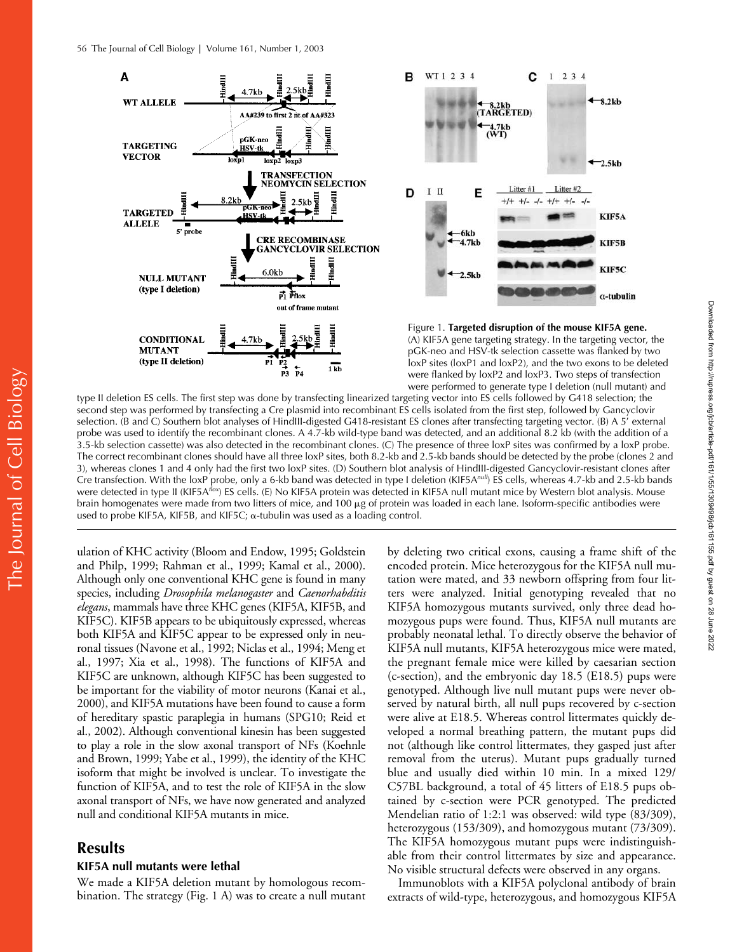

were performed to generate type I deletion (null mutant) and type II deletion ES cells. The first step was done by transfecting linearized targeting vector into ES cells followed by G418 selection; the second step was performed by transfecting a Cre plasmid into recombinant ES cells isolated from the first step, followed by Gancyclovir selection. (B and C) Southern blot analyses of HindIII-digested G418-resistant ES clones after transfecting targeting vector. (B) A 5' external probe was used to identify the recombinant clones. A 4.7-kb wild-type band was detected, and an additional 8.2 kb (with the addition of a 3.5-kb selection cassette) was also detected in the recombinant clones. (C) The presence of three loxP sites was confirmed by a loxP probe. The correct recombinant clones should have all three loxP sites, both 8.2-kb and 2.5-kb bands should be detected by the probe (clones 2 and 3), whereas clones 1 and 4 only had the first two loxP sites. (D) Southern blot analysis of HindIII-digested Gancyclovir-resistant clones after Cre transfection. With the loxP probe, only a 6-kb band was detected in type I deletion (KIF5A<sup>nul)</sup> ES cells, whereas 4.7-kb and 2.5-kb bands were detected in type II (KIF5A*flox*) ES cells. (E) No KIF5A protein was detected in KIF5A null mutant mice by Western blot analysis. Mouse brain homogenates were made from two litters of mice, and 100 μg of protein was loaded in each lane. Isoform-specific antibodies were used to probe KIF5A, KIF5B, and KIF5C;  $\alpha$ -tubulin was used as a loading control.

ulation of KHC activity (Bloom and Endow, 1995; Goldstein and Philp, 1999; Rahman et al., 1999; Kamal et al., 2000). Although only one conventional KHC gene is found in many species, including *Drosophila melanogaster* and *Caenorhabditis elegans*, mammals have three KHC genes (KIF5A, KIF5B, and KIF5C). KIF5B appears to be ubiquitously expressed, whereas both KIF5A and KIF5C appear to be expressed only in neuronal tissues (Navone et al., 1992; Niclas et al., 1994; Meng et al., 1997; Xia et al., 1998). The functions of KIF5A and KIF5C are unknown, although KIF5C has been suggested to be important for the viability of motor neurons (Kanai et al., 2000), and KIF5A mutations have been found to cause a form of hereditary spastic paraplegia in humans (SPG10; Reid et al., 2002). Although conventional kinesin has been suggested to play a role in the slow axonal transport of NFs (Koehnle and Brown, 1999; Yabe et al., 1999), the identity of the KHC isoform that might be involved is unclear. To investigate the function of KIF5A, and to test the role of KIF5A in the slow axonal transport of NFs, we have now generated and analyzed null and conditional KIF5A mutants in mice.

# **Results**

## **KIF5A null mutants were lethal**

We made a KIF5A deletion mutant by homologous recombination. The strategy (Fig. 1 A) was to create a null mutant

by deleting two critical exons, causing a frame shift of the encoded protein. Mice heterozygous for the KIF5A null mutation were mated, and 33 newborn offspring from four litters were analyzed. Initial genotyping revealed that no KIF5A homozygous mutants survived, only three dead homozygous pups were found. Thus, KIF5A null mutants are probably neonatal lethal. To directly observe the behavior of KIF5A null mutants, KIF5A heterozygous mice were mated, the pregnant female mice were killed by caesarian section (c-section), and the embryonic day 18.5 (E18.5) pups were genotyped. Although live null mutant pups were never observed by natural birth, all null pups recovered by c-section were alive at E18.5. Whereas control littermates quickly developed a normal breathing pattern, the mutant pups did not (although like control littermates, they gasped just after removal from the uterus). Mutant pups gradually turned blue and usually died within 10 min. In a mixed 129/ C57BL background, a total of 45 litters of E18.5 pups obtained by c-section were PCR genotyped. The predicted Mendelian ratio of 1:2:1 was observed: wild type (83/309), heterozygous (153/309), and homozygous mutant (73/309). The KIF5A homozygous mutant pups were indistinguishable from their control littermates by size and appearance. No visible structural defects were observed in any organs.

Immunoblots with a KIF5A polyclonal antibody of brain extracts of wild-type, heterozygous, and homozygous KIF5A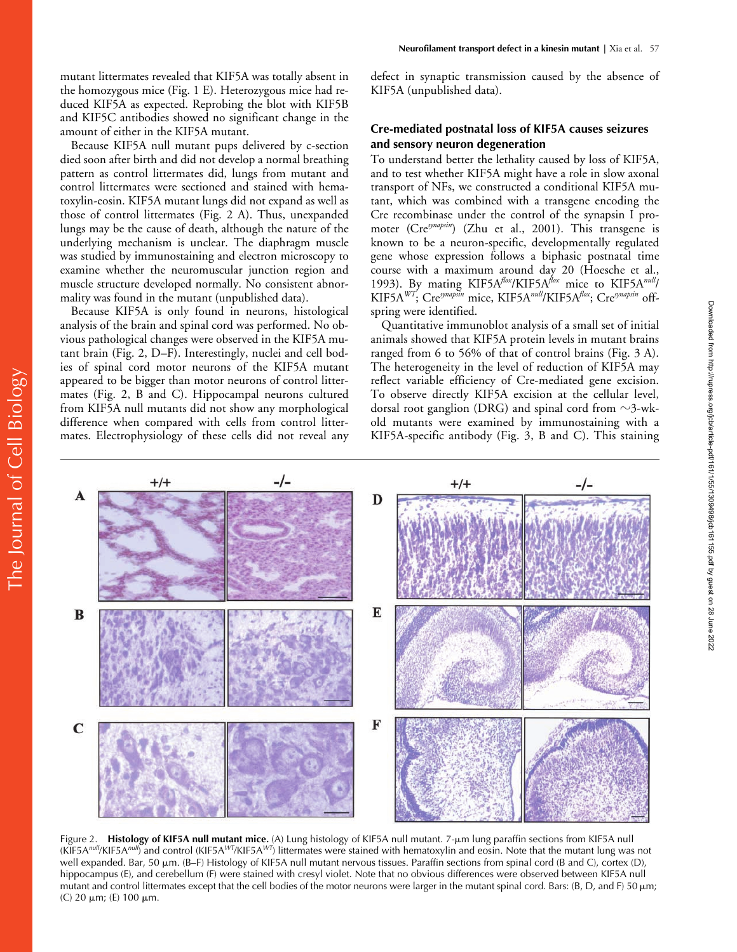Because KIF5A null mutant pups delivered by c-section died soon after birth and did not develop a normal breathing pattern as control littermates did, lungs from mutant and control littermates were sectioned and stained with hematoxylin-eosin. KIF5A mutant lungs did not expand as well as those of control littermates (Fig. 2 A). Thus, unexpanded lungs may be the cause of death, although the nature of the underlying mechanism is unclear. The diaphragm muscle was studied by immunostaining and electron microscopy to examine whether the neuromuscular junction region and muscle structure developed normally. No consistent abnormality was found in the mutant (unpublished data).

Because KIF5A is only found in neurons, histological analysis of the brain and spinal cord was performed. No obvious pathological changes were observed in the KIF5A mutant brain (Fig. 2, D–F). Interestingly, nuclei and cell bodies of spinal cord motor neurons of the KIF5A mutant appeared to be bigger than motor neurons of control littermates (Fig. 2, B and C). Hippocampal neurons cultured from KIF5A null mutants did not show any morphological difference when compared with cells from control littermates. Electrophysiology of these cells did not reveal any defect in synaptic transmission caused by the absence of KIF5A (unpublished data).

## **Cre-mediated postnatal loss of KIF5A causes seizures and sensory neuron degeneration**

To understand better the lethality caused by loss of KIF5A, and to test whether KIF5A might have a role in slow axonal transport of NFs, we constructed a conditional KIF5A mutant, which was combined with a transgene encoding the Cre recombinase under the control of the synapsin I promoter (Cre*synapsin*) (Zhu et al., 2001). This transgene is known to be a neuron-specific, developmentally regulated gene whose expression follows a biphasic postnatal time course with a maximum around day 20 (Hoesche et al., 1993). By mating KIF5A*flox*/KIF5A*flox* mice to KIF5A*null*/ KIF5A*WT*; Cre*synapsin* mice, KIF5A*null*/KIF5A*flox*; Cre*synapsin* offspring were identified.

Quantitative immunoblot analysis of a small set of initial animals showed that KIF5A protein levels in mutant brains ranged from 6 to 56% of that of control brains (Fig. 3 A). The heterogeneity in the level of reduction of KIF5A may reflect variable efficiency of Cre-mediated gene excision. To observe directly KIF5A excision at the cellular level, dorsal root ganglion (DRG) and spinal cord from  $\sim$ 3-wkold mutants were examined by immunostaining with a KIF5A-specific antibody (Fig. 3, B and C). This staining



Figure 2. Histology of KIF5A null mutant mice. (A) Lung histology of KIF5A null mutant. 7-µm lung paraffin sections from KIF5A null (KIF5A*null*/KIF5A*null*) and control (KIF5A*WT*/KIF5A*WT*) littermates were stained with hematoxylin and eosin. Note that the mutant lung was not well expanded. Bar, 50 μm. (B–F) Histology of KIF5A null mutant nervous tissues. Paraffin sections from spinal cord (B and C), cortex (D), hippocampus (E), and cerebellum (F) were stained with cresyl violet. Note that no obvious differences were observed between KIF5A null mutant and control littermates except that the cell bodies of the motor neurons were larger in the mutant spinal cord. Bars: (B, D, and F) 50  $\mu$ m; (C) 20 μm; (E) 100 μm.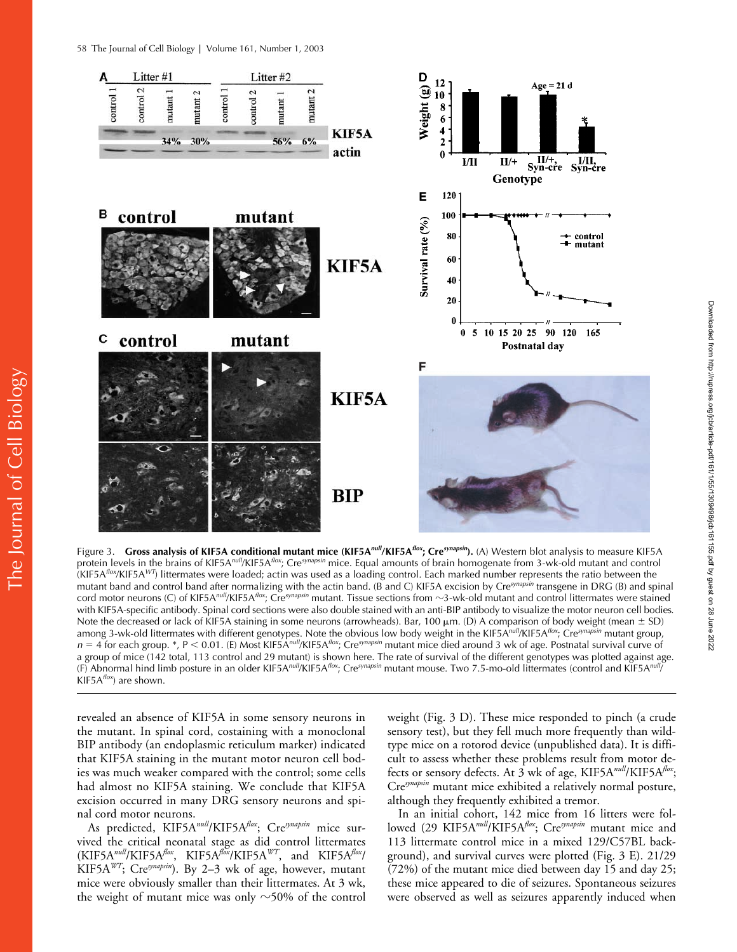

Figure 3. **Gross analysis of KIF5A conditional mutant mice (KIF5A***null***/KIF5A***flox***; Cre***synapsin***).** (A) Western blot analysis to measure KIF5A protein levels in the brains of KIF5A*null*/KIF5A*flox*; Cre*synapsin* mice. Equal amounts of brain homogenate from 3-wk-old mutant and control (KIF5A*flox*/KIF5A*WT*) littermates were loaded; actin was used as a loading control. Each marked number represents the ratio between the mutant band and control band after normalizing with the actin band. (B and C) KIF5A excision by Cre*synapsin* transgene in DRG (B) and spinal cord motor neurons (C) of KIF5A*null*/KIF5A*flox*; Cre*synapsin* mutant. Tissue sections from -3-wk-old mutant and control littermates were stained with KIF5A-specific antibody. Spinal cord sections were also double stained with an anti-BIP antibody to visualize the motor neuron cell bodies. Note the decreased or lack of KIF5A staining in some neurons (arrowheads). Bar, 100  $\mu$ m. (D) A comparison of body weight (mean  $\pm$  SD) among 3-wk-old littermates with different genotypes. Note the obvious low body weight in the KIF5A*null*/KIF5A*flox*; Cre*synapsin* mutant group, *n* 4 for each group. \*, P 0.01. (E) Most KIF5A*null*/KIF5A*flox*; Cre*synapsin* mutant mice died around 3 wk of age. Postnatal survival curve of a group of mice (142 total, 113 control and 29 mutant) is shown here. The rate of survival of the different genotypes was plotted against age. (F) Abnormal hind limb posture in an older KIF5A*null*/KIF5A*flox*; Cre*synapsin* mutant mouse. Two 7.5-mo-old littermates (control and KIF5A*null*/ KIF5A*flox*) are shown.

revealed an absence of KIF5A in some sensory neurons in the mutant. In spinal cord, costaining with a monoclonal BIP antibody (an endoplasmic reticulum marker) indicated that KIF5A staining in the mutant motor neuron cell bodies was much weaker compared with the control; some cells had almost no KIF5A staining. We conclude that KIF5A excision occurred in many DRG sensory neurons and spinal cord motor neurons.

As predicted, KIF5A*null*/KIF5A*flox*; Cre*synapsin* mice survived the critical neonatal stage as did control littermates (KIF5A*null*/KIF5A*flox*, KIF5A*flox*/KIF5A*WT*, and KIF5A*flox*/ KIF5A*WT*; Cre*synapsin*). By 2–3 wk of age, however, mutant mice were obviously smaller than their littermates. At 3 wk, the weight of mutant mice was only  $\sim$ 50% of the control

weight (Fig. 3 D). These mice responded to pinch (a crude sensory test), but they fell much more frequently than wildtype mice on a rotorod device (unpublished data). It is difficult to assess whether these problems result from motor defects or sensory defects. At 3 wk of age, KIF5A*null*/KIF5A*flox*; Cre*synapsin* mutant mice exhibited a relatively normal posture, although they frequently exhibited a tremor.

In an initial cohort, 142 mice from 16 litters were followed (29 KIF5A*null*/KIF5A*flox*; Cre*synapsin* mutant mice and 113 littermate control mice in a mixed 129/C57BL background), and survival curves were plotted (Fig. 3 E). 21/29 (72%) of the mutant mice died between day 15 and day 25; these mice appeared to die of seizures. Spontaneous seizures were observed as well as seizures apparently induced when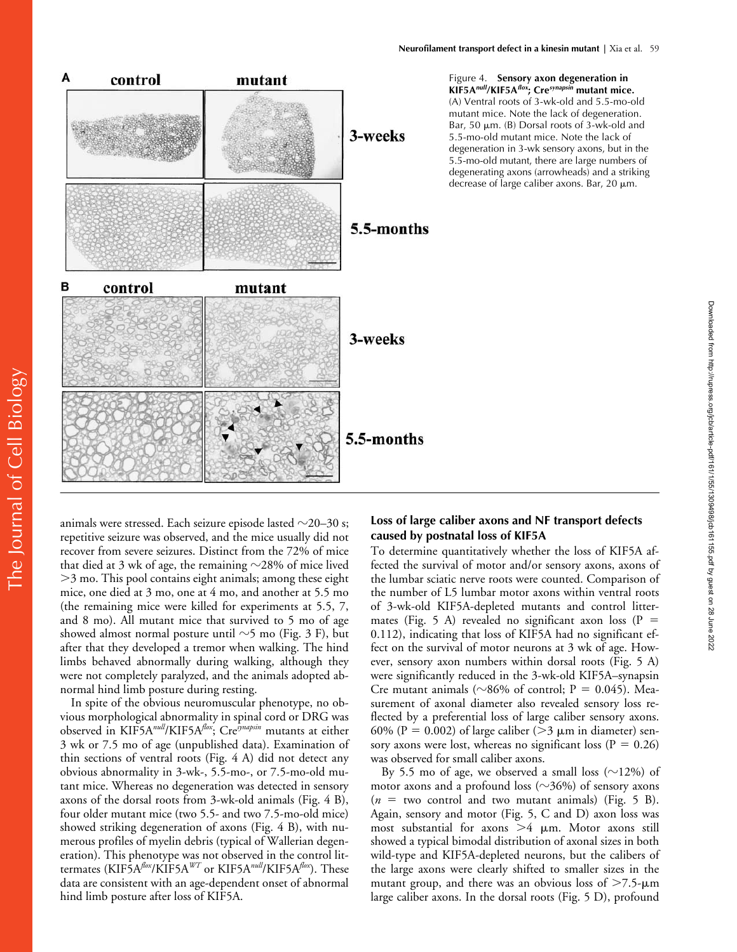

The Journal of Cell Bio $\log$ y The Journal of Cell Biology

animals were stressed. Each seizure episode lasted  $\sim$ 20–30 s; repetitive seizure was observed, and the mice usually did not recover from severe seizures. Distinct from the 72% of mice that died at 3 wk of age, the remaining  $\sim$ 28% of mice lived 3 mo. This pool contains eight animals; among these eight mice, one died at 3 mo, one at 4 mo, and another at 5.5 mo (the remaining mice were killed for experiments at 5.5, 7, and 8 mo). All mutant mice that survived to 5 mo of age showed almost normal posture until  ${\sim}5$  mo (Fig. 3 F), but after that they developed a tremor when walking. The hind limbs behaved abnormally during walking, although they were not completely paralyzed, and the animals adopted abnormal hind limb posture during resting.

In spite of the obvious neuromuscular phenotype, no obvious morphological abnormality in spinal cord or DRG was observed in KIF5A*null*/KIF5A*flox*; Cre*synapsin* mutants at either 3 wk or 7.5 mo of age (unpublished data). Examination of thin sections of ventral roots (Fig. 4 A) did not detect any obvious abnormality in 3-wk-, 5.5-mo-, or 7.5-mo-old mutant mice. Whereas no degeneration was detected in sensory axons of the dorsal roots from 3-wk-old animals (Fig. 4 B), four older mutant mice (two 5.5- and two 7.5-mo-old mice) showed striking degeneration of axons (Fig. 4 B), with numerous profiles of myelin debris (typical of Wallerian degeneration). This phenotype was not observed in the control littermates (KIF5A*flox*/KIF5A*WT* or KIF5A*null*/KIF5A*flox*). These data are consistent with an age-dependent onset of abnormal hind limb posture after loss of KIF5A.

# **Loss of large caliber axons and NF transport defects caused by postnatal loss of KIF5A**

Downloaded from http://rupress.org/jcb/article-pdf/161/1/55/1309498/jcb161155.pdf by guest on 28 June 2022

Downloaded from http://rupress.org/jcb/article-pdf/161/1/55/1309498/jcb161155.pdf by guest on 28 June 2022

To determine quantitatively whether the loss of KIF5A affected the survival of motor and/or sensory axons, axons of the lumbar sciatic nerve roots were counted. Comparison of the number of L5 lumbar motor axons within ventral roots of 3-wk-old KIF5A-depleted mutants and control littermates (Fig. 5 A) revealed no significant axon loss ( $P =$ 0.112), indicating that loss of KIF5A had no significant effect on the survival of motor neurons at 3 wk of age. However, sensory axon numbers within dorsal roots (Fig. 5 A) were significantly reduced in the 3-wk-old KIF5A–synapsin Cre mutant animals ( $\sim 86\%$  of control; P = 0.045). Measurement of axonal diameter also revealed sensory loss reflected by a preferential loss of large caliber sensory axons. 60% (P = 0.002) of large caliber ( $>$ 3  $\mu$ m in diameter) sensory axons were lost, whereas no significant loss ( $P = 0.26$ ) was observed for small caliber axons.

By 5.5 mo of age, we observed a small loss  $(\sim]12\%)$  of motor axons and a profound loss ( $\sim$ 36%) of sensory axons  $(n = two control and two mutant animals)$  (Fig. 5 B). Again, sensory and motor (Fig. 5, C and D) axon loss was most substantial for axons  $>4$   $\mu$ m. Motor axons still showed a typical bimodal distribution of axonal sizes in both wild-type and KIF5A-depleted neurons, but the calibers of the large axons were clearly shifted to smaller sizes in the mutant group, and there was an obvious loss of  $>7.5$ - $\mu$ m large caliber axons. In the dorsal roots (Fig. 5 D), profound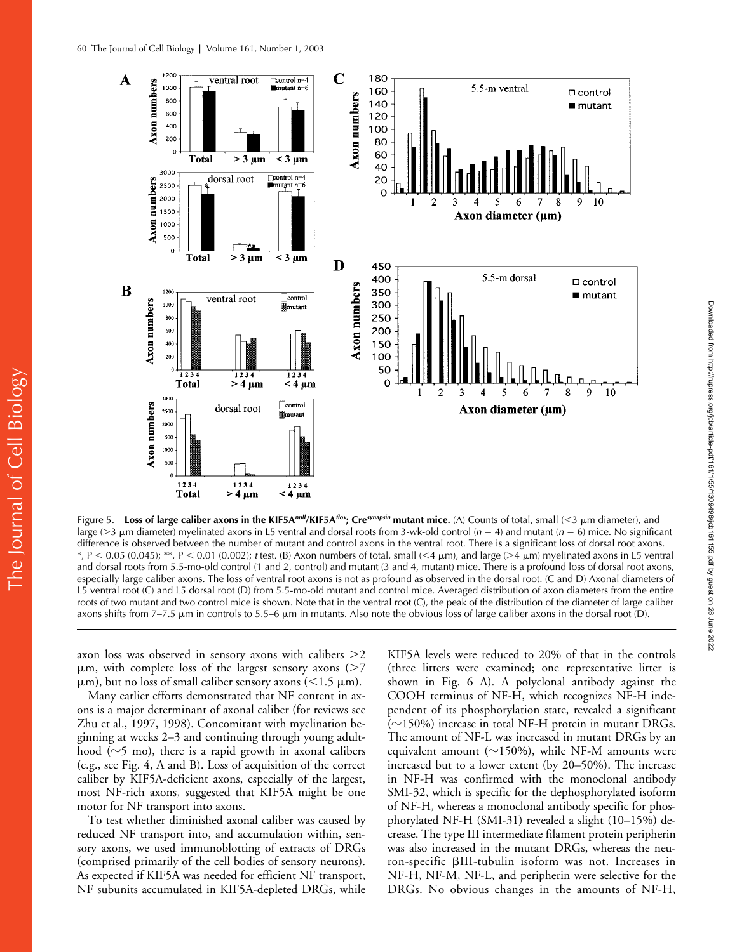

Figure 5. **Loss of large caliber axons in the KIF5A***null***/KIF5A***flox***; Cre***synapsin* **mutant mice.** (A) Counts of total, small (3 m diameter), and large (3 m diameter) myelinated axons in L5 ventral and dorsal roots from 3-wk-old control (*n* 4) and mutant (*n* 6) mice. No significant difference is observed between the number of mutant and control axons in the ventral root. There is a significant loss of dorsal root axons. \*, P < 0.05 (0.045); \*\*, P < 0.01 (0.002); *t* test. (B) Axon numbers of total, small (<4  $\mu$ m), and large (>4  $\mu$ m) myelinated axons in L5 ventral and dorsal roots from 5.5-mo-old control (1 and 2, control) and mutant (3 and 4, mutant) mice. There is a profound loss of dorsal root axons, especially large caliber axons. The loss of ventral root axons is not as profound as observed in the dorsal root. (C and D) Axonal diameters of L5 ventral root (C) and L5 dorsal root (D) from 5.5-mo-old mutant and control mice. Averaged distribution of axon diameters from the entire roots of two mutant and two control mice is shown. Note that in the ventral root (C), the peak of the distribution of the diameter of large caliber axons shifts from 7–7.5  $\mu$ m in controls to 5.5–6  $\mu$ m in mutants. Also note the obvious loss of large caliber axons in the dorsal root (D).

axon loss was observed in sensory axons with calibers 2  $\mu$ m, with complete loss of the largest sensory axons ( $>7$  $\mu$ m), but no loss of small caliber sensory axons (<1.5  $\mu$ m).

Many earlier efforts demonstrated that NF content in axons is a major determinant of axonal caliber (for reviews see Zhu et al., 1997, 1998). Concomitant with myelination beginning at weeks 2–3 and continuing through young adulthood ( $\sim$ 5 mo), there is a rapid growth in axonal calibers (e.g., see Fig. 4, A and B). Loss of acquisition of the correct caliber by KIF5A-deficient axons, especially of the largest, most NF-rich axons, suggested that KIF5A might be one motor for NF transport into axons.

To test whether diminished axonal caliber was caused by reduced NF transport into, and accumulation within, sensory axons, we used immunoblotting of extracts of DRGs (comprised primarily of the cell bodies of sensory neurons). As expected if KIF5A was needed for efficient NF transport, NF subunits accumulated in KIF5A-depleted DRGs, while

KIF5A levels were reduced to 20% of that in the controls (three litters were examined; one representative litter is shown in Fig. 6 A). A polyclonal antibody against the COOH terminus of NF-H, which recognizes NF-H independent of its phosphorylation state, revealed a significant  $(\sim$ 150%) increase in total NF-H protein in mutant DRGs. The amount of NF-L was increased in mutant DRGs by an equivalent amount ( $\sim$ 150%), while NF-M amounts were increased but to a lower extent (by 20–50%). The increase in NF-H was confirmed with the monoclonal antibody SMI-32, which is specific for the dephosphorylated isoform of NF-H, whereas a monoclonal antibody specific for phosphorylated NF-H (SMI-31) revealed a slight (10–15%) decrease. The type III intermediate filament protein peripherin was also increased in the mutant DRGs, whereas the neuron-specific III-tubulin isoform was not. Increases in NF-H, NF-M, NF-L, and peripherin were selective for the DRGs. No obvious changes in the amounts of NF-H,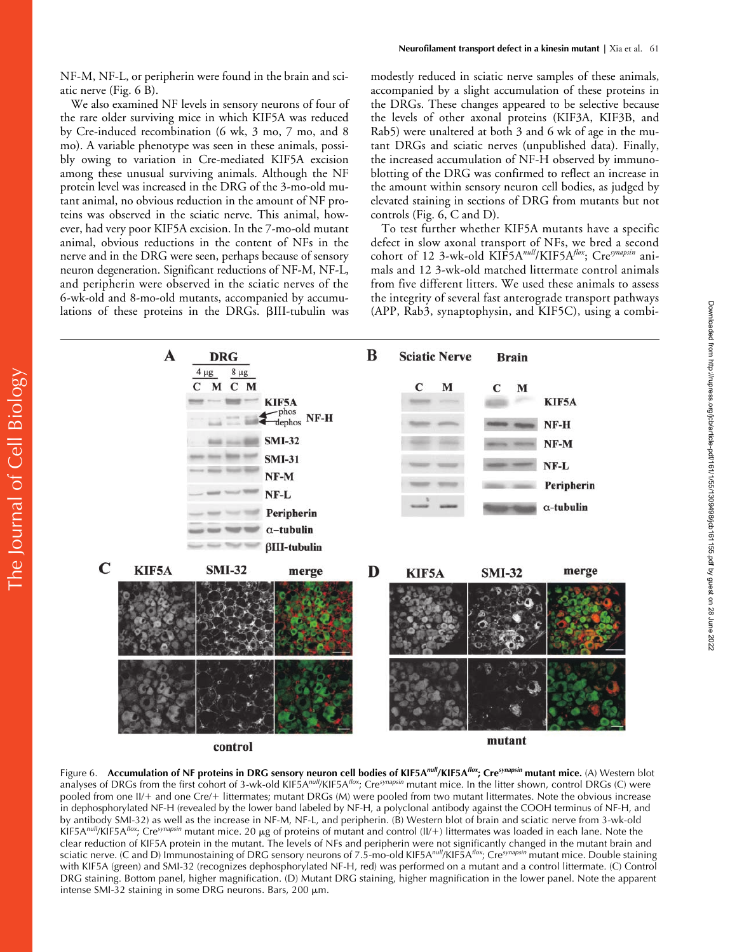NF-M, NF-L, or peripherin were found in the brain and sciatic nerve (Fig. 6 B).

We also examined NF levels in sensory neurons of four of the rare older surviving mice in which KIF5A was reduced by Cre-induced recombination (6 wk, 3 mo, 7 mo, and 8 mo). A variable phenotype was seen in these animals, possibly owing to variation in Cre-mediated KIF5A excision among these unusual surviving animals. Although the NF protein level was increased in the DRG of the 3-mo-old mutant animal, no obvious reduction in the amount of NF proteins was observed in the sciatic nerve. This animal, however, had very poor KIF5A excision. In the 7-mo-old mutant animal, obvious reductions in the content of NFs in the nerve and in the DRG were seen, perhaps because of sensory neuron degeneration. Significant reductions of NF-M, NF-L, and peripherin were observed in the sciatic nerves of the 6-wk-old and 8-mo-old mutants, accompanied by accumulations of these proteins in the DRGs. BIII-tubulin was modestly reduced in sciatic nerve samples of these animals, accompanied by a slight accumulation of these proteins in the DRGs. These changes appeared to be selective because the levels of other axonal proteins (KIF3A, KIF3B, and Rab5) were unaltered at both 3 and 6 wk of age in the mutant DRGs and sciatic nerves (unpublished data). Finally, the increased accumulation of NF-H observed by immunoblotting of the DRG was confirmed to reflect an increase in the amount within sensory neuron cell bodies, as judged by elevated staining in sections of DRG from mutants but not controls (Fig. 6, C and D).

To test further whether KIF5A mutants have a specific defect in slow axonal transport of NFs, we bred a second cohort of 12 3-wk-old KIF5A*null*/KIF5A*flox*; Cre*synapsin* animals and 12 3-wk-old matched littermate control animals from five different litters. We used these animals to assess the integrity of several fast anterograde transport pathways (APP, Rab3, synaptophysin, and KIF5C), using a combi-



control

mutant

Figure 6. **Accumulation of NF proteins in DRG sensory neuron cell bodies of KIF5A***null***/KIF5A***flox***; Cre***synapsin* **mutant mice.** (A) Western blot analyses of DRGs from the first cohort of 3-wk-old KIF5A*null*/KIF5A*flox*; Cre*synapsin* mutant mice. In the litter shown, control DRGs (C) were pooled from one II/+ and one Cre/+ littermates; mutant DRGs (M) were pooled from two mutant littermates. Note the obvious increase in dephosphorylated NF-H (revealed by the lower band labeled by NF-H, a polyclonal antibody against the COOH terminus of NF-H, and by antibody SMI-32) as well as the increase in NF-M, NF-L, and peripherin. (B) Western blot of brain and sciatic nerve from 3-wk-old KIF5A<sup>null</sup>/KIF5A<sup>flox</sup>; Cre<sup>synapsin</sup> mutant mice. 20 μg of proteins of mutant and control (II/+) littermates was loaded in each lane. Note the clear reduction of KIF5A protein in the mutant. The levels of NFs and peripherin were not significantly changed in the mutant brain and sciatic nerve. (C and D) Immunostaining of DRG sensory neurons of 7.5-mo-old KIF5A*null*/KIF5A*flox*; Cre*synapsin* mutant mice. Double staining with KIF5A (green) and SMI-32 (recognizes dephosphorylated NF-H, red) was performed on a mutant and a control littermate. (C) Control DRG staining. Bottom panel, higher magnification. (D) Mutant DRG staining, higher magnification in the lower panel. Note the apparent intense SMI-32 staining in some DRG neurons. Bars,  $200 \mu m$ .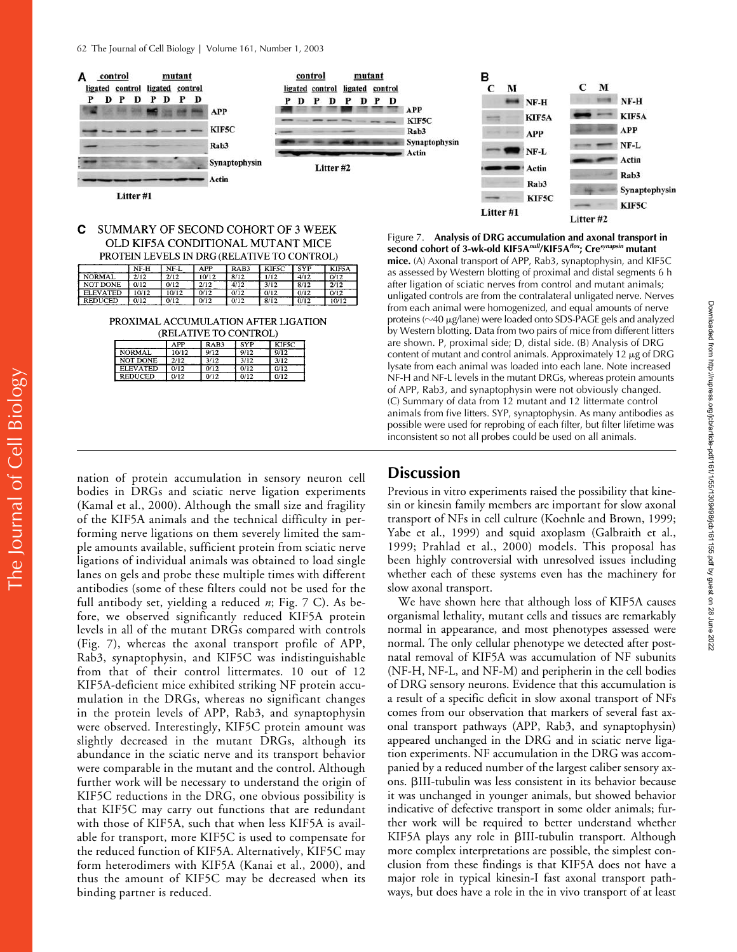

#### C SUMMARY OF SECOND COHORT OF 3 WEEK OLD KIF5A CONDITIONAL MUTANT MICE PROTEIN LEVELS IN DRG (RELATIVE TO CONTROL)

|                 | NF-H | NF-L  | APP   | RAB3 | KIF5C | <b>SYP</b> | KIF5A |
|-----------------|------|-------|-------|------|-------|------------|-------|
| <b>NORMAL</b>   | 2/12 | 2/12  | 10/12 | 8/12 | 1/12  | 4/12       | 0/12  |
| NOT DONE        | 0/12 | 0/12  | 2/12  | 4/12 | 3/12  | 8/12       | 2/12  |
| <b>ELEVATED</b> | 0/12 | 10/12 | 0/12  | 0/12 | 0/12  | 0/12       | 0/12  |
| <b>REDUCED</b>  | 0/12 | 0/12  | 0/12  | 0/12 | 8/12  | 0/12       | 10/12 |

PROXIMAL ACCUMULATION AFTER LIGATION **(DELATIVE TO CONTROL)** 

| (Retentive to control) |       |      |            |       |  |  |  |  |
|------------------------|-------|------|------------|-------|--|--|--|--|
|                        | APP   | RAB3 | <b>SYP</b> | KIF5C |  |  |  |  |
| <b>NORMAL</b>          | 10/12 | 9/12 | 9/12       | 9/12  |  |  |  |  |
| NOT DONE               | 2/12  | 3/12 | 3/12       | 3/12  |  |  |  |  |
| <b>ELEVATED</b>        | 0/12  | 0/12 | 0/12       | 0/12  |  |  |  |  |
| <b>REDUCED</b>         | 0/12  | 0/12 | 0/12       | 0/12  |  |  |  |  |

KIF5C KIF5C Litter #1 Litter #2 Figure 7. **Analysis of DRG accumulation and axonal transport in second cohort of 3-wk-old KIF5A***null***/KIF5A***flox***; Cre***synapsin* **mutant mice.** (A) Axonal transport of APP, Rab3, synaptophysin, and KIF5C as assessed by Western blotting of proximal and distal segments 6 h after ligation of sciatic nerves from control and mutant animals; unligated controls are from the contralateral unligated nerve. Nerves from each animal were homogenized, and equal amounts of nerve proteins ( $\sim$ 40  $\mu$ g/lane) were loaded onto SDS-PAGE gels and analyzed by Western blotting. Data from two pairs of mice from different litters are shown. P, proximal side; D, distal side. (B) Analysis of DRG content of mutant and control animals. Approximately 12  $\mu$ g of DRG lysate from each animal was loaded into each lane. Note increased NF-H and NF-L levels in the mutant DRGs, whereas protein amounts

of APP, Rab3, and synaptophysin were not obviously changed. (C) Summary of data from 12 mutant and 12 littermate control animals from five litters. SYP, synaptophysin. As many antibodies as possible were used for reprobing of each filter, but filter lifetime was inconsistent so not all probes could be used on all animals.

## nation of protein accumulation in sensory neuron cell bodies in DRGs and sciatic nerve ligation experiments (Kamal et al., 2000). Although the small size and fragility of the KIF5A animals and the technical difficulty in performing nerve ligations on them severely limited the sample amounts available, sufficient protein from sciatic nerve ligations of individual animals was obtained to load single lanes on gels and probe these multiple times with different antibodies (some of these filters could not be used for the full antibody set, yielding a reduced *n*; Fig. 7 C). As before, we observed significantly reduced KIF5A protein levels in all of the mutant DRGs compared with controls (Fig. 7), whereas the axonal transport profile of APP, Rab3, synaptophysin, and KIF5C was indistinguishable from that of their control littermates. 10 out of 12 KIF5A-deficient mice exhibited striking NF protein accumulation in the DRGs, whereas no significant changes in the protein levels of APP, Rab3, and synaptophysin were observed. Interestingly, KIF5C protein amount was slightly decreased in the mutant DRGs, although its abundance in the sciatic nerve and its transport behavior were comparable in the mutant and the control. Although further work will be necessary to understand the origin of KIF5C reductions in the DRG, one obvious possibility is that KIF5C may carry out functions that are redundant with those of KIF5A, such that when less KIF5A is available for transport, more KIF5C is used to compensate for the reduced function of KIF5A. Alternatively, KIF5C may form heterodimers with KIF5A (Kanai et al., 2000), and thus the amount of KIF5C may be decreased when its binding partner is reduced.

# **Discussion**

Previous in vitro experiments raised the possibility that kinesin or kinesin family members are important for slow axonal transport of NFs in cell culture (Koehnle and Brown, 1999; Yabe et al., 1999) and squid axoplasm (Galbraith et al., 1999; Prahlad et al., 2000) models. This proposal has been highly controversial with unresolved issues including whether each of these systems even has the machinery for slow axonal transport.

We have shown here that although loss of KIF5A causes organismal lethality, mutant cells and tissues are remarkably normal in appearance, and most phenotypes assessed were normal. The only cellular phenotype we detected after postnatal removal of KIF5A was accumulation of NF subunits (NF-H, NF-L, and NF-M) and peripherin in the cell bodies of DRG sensory neurons. Evidence that this accumulation is a result of a specific deficit in slow axonal transport of NFs comes from our observation that markers of several fast axonal transport pathways (APP, Rab3, and synaptophysin) appeared unchanged in the DRG and in sciatic nerve ligation experiments. NF accumulation in the DRG was accompanied by a reduced number of the largest caliber sensory axons. III-tubulin was less consistent in its behavior because it was unchanged in younger animals, but showed behavior indicative of defective transport in some older animals; further work will be required to better understand whether KIF5A plays any role in BIII-tubulin transport. Although more complex interpretations are possible, the simplest conclusion from these findings is that KIF5A does not have a major role in typical kinesin-I fast axonal transport pathways, but does have a role in the in vivo transport of at least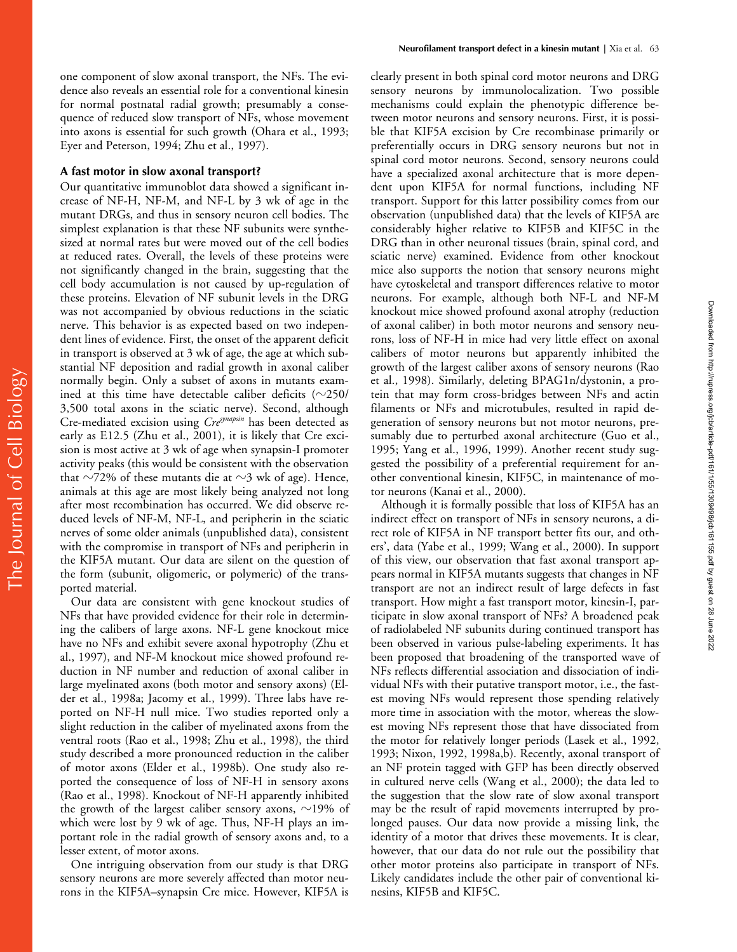one component of slow axonal transport, the NFs. The evidence also reveals an essential role for a conventional kinesin for normal postnatal radial growth; presumably a consequence of reduced slow transport of NFs, whose movement into axons is essential for such growth (Ohara et al., 1993; Eyer and Peterson, 1994; Zhu et al., 1997).

## **A fast motor in slow axonal transport?**

Our quantitative immunoblot data showed a significant increase of NF-H, NF-M, and NF-L by 3 wk of age in the mutant DRGs, and thus in sensory neuron cell bodies. The simplest explanation is that these NF subunits were synthesized at normal rates but were moved out of the cell bodies at reduced rates. Overall, the levels of these proteins were not significantly changed in the brain, suggesting that the cell body accumulation is not caused by up-regulation of these proteins. Elevation of NF subunit levels in the DRG was not accompanied by obvious reductions in the sciatic nerve. This behavior is as expected based on two independent lines of evidence. First, the onset of the apparent deficit in transport is observed at 3 wk of age, the age at which substantial NF deposition and radial growth in axonal caliber normally begin. Only a subset of axons in mutants examined at this time have detectable caliber deficits ( $\sim$ 250/ 3,500 total axons in the sciatic nerve). Second, although Cre-mediated excision using *Cresynapsin* has been detected as early as E12.5 (Zhu et al., 2001), it is likely that Cre excision is most active at 3 wk of age when synapsin-I promoter activity peaks (this would be consistent with the observation that  $\sim$ 72% of these mutants die at  $\sim$ 3 wk of age). Hence, animals at this age are most likely being analyzed not long after most recombination has occurred. We did observe reduced levels of NF-M, NF-L, and peripherin in the sciatic nerves of some older animals (unpublished data), consistent with the compromise in transport of NFs and peripherin in the KIF5A mutant. Our data are silent on the question of the form (subunit, oligomeric, or polymeric) of the transported material.

Our data are consistent with gene knockout studies of NFs that have provided evidence for their role in determining the calibers of large axons. NF-L gene knockout mice have no NFs and exhibit severe axonal hypotrophy (Zhu et al., 1997), and NF-M knockout mice showed profound reduction in NF number and reduction of axonal caliber in large myelinated axons (both motor and sensory axons) (Elder et al., 1998a; Jacomy et al., 1999). Three labs have reported on NF-H null mice. Two studies reported only a slight reduction in the caliber of myelinated axons from the ventral roots (Rao et al., 1998; Zhu et al., 1998), the third study described a more pronounced reduction in the caliber of motor axons (Elder et al., 1998b). One study also reported the consequence of loss of NF-H in sensory axons (Rao et al., 1998). Knockout of NF-H apparently inhibited the growth of the largest caliber sensory axons,  $\sim$ 19% of which were lost by 9 wk of age. Thus, NF-H plays an important role in the radial growth of sensory axons and, to a lesser extent, of motor axons.

One intriguing observation from our study is that DRG sensory neurons are more severely affected than motor neurons in the KIF5A–synapsin Cre mice. However, KIF5A is

clearly present in both spinal cord motor neurons and DRG sensory neurons by immunolocalization. Two possible mechanisms could explain the phenotypic difference between motor neurons and sensory neurons. First, it is possible that KIF5A excision by Cre recombinase primarily or preferentially occurs in DRG sensory neurons but not in spinal cord motor neurons. Second, sensory neurons could have a specialized axonal architecture that is more dependent upon KIF5A for normal functions, including NF transport. Support for this latter possibility comes from our observation (unpublished data) that the levels of KIF5A are considerably higher relative to KIF5B and KIF5C in the DRG than in other neuronal tissues (brain, spinal cord, and sciatic nerve) examined. Evidence from other knockout mice also supports the notion that sensory neurons might have cytoskeletal and transport differences relative to motor neurons. For example, although both NF-L and NF-M knockout mice showed profound axonal atrophy (reduction of axonal caliber) in both motor neurons and sensory neurons, loss of NF-H in mice had very little effect on axonal calibers of motor neurons but apparently inhibited the growth of the largest caliber axons of sensory neurons (Rao et al., 1998). Similarly, deleting BPAG1n/dystonin, a protein that may form cross-bridges between NFs and actin filaments or NFs and microtubules, resulted in rapid degeneration of sensory neurons but not motor neurons, presumably due to perturbed axonal architecture (Guo et al., 1995; Yang et al., 1996, 1999). Another recent study suggested the possibility of a preferential requirement for another conventional kinesin, KIF5C, in maintenance of motor neurons (Kanai et al., 2000).

Although it is formally possible that loss of KIF5A has an indirect effect on transport of NFs in sensory neurons, a direct role of KIF5A in NF transport better fits our, and others', data (Yabe et al., 1999; Wang et al., 2000). In support of this view, our observation that fast axonal transport appears normal in KIF5A mutants suggests that changes in NF transport are not an indirect result of large defects in fast transport. How might a fast transport motor, kinesin-I, participate in slow axonal transport of NFs? A broadened peak of radiolabeled NF subunits during continued transport has been observed in various pulse-labeling experiments. It has been proposed that broadening of the transported wave of NFs reflects differential association and dissociation of individual NFs with their putative transport motor, i.e., the fastest moving NFs would represent those spending relatively more time in association with the motor, whereas the slowest moving NFs represent those that have dissociated from the motor for relatively longer periods (Lasek et al., 1992, 1993; Nixon, 1992, 1998a,b). Recently, axonal transport of an NF protein tagged with GFP has been directly observed in cultured nerve cells (Wang et al., 2000); the data led to the suggestion that the slow rate of slow axonal transport may be the result of rapid movements interrupted by prolonged pauses. Our data now provide a missing link, the identity of a motor that drives these movements. It is clear, however, that our data do not rule out the possibility that other motor proteins also participate in transport of NFs. Likely candidates include the other pair of conventional kinesins, KIF5B and KIF5C.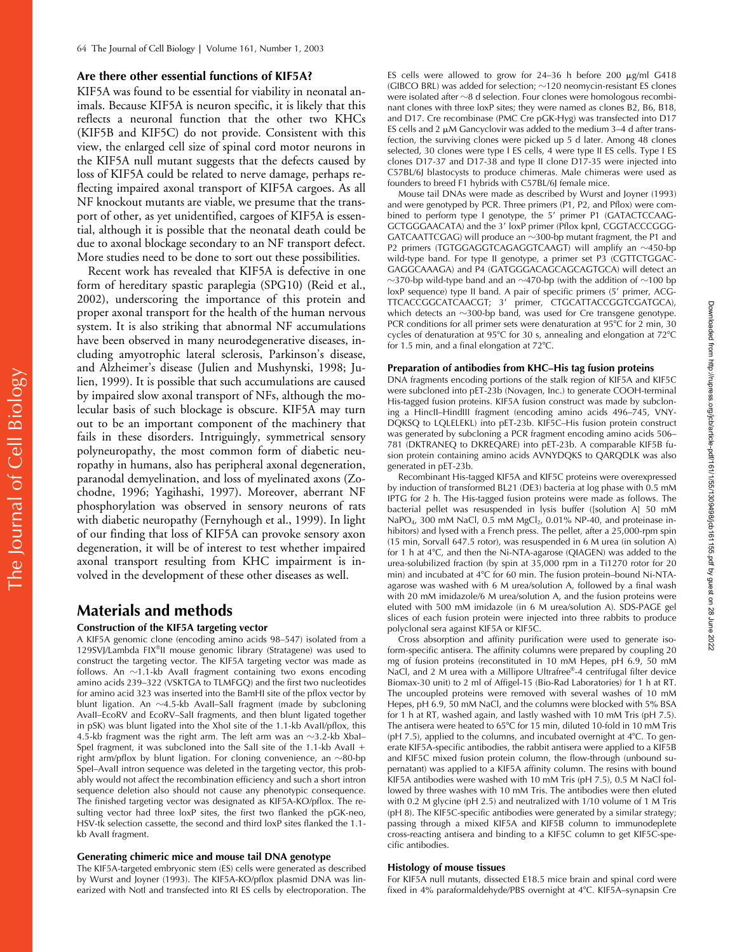## **Are there other essential functions of KIF5A?**

KIF5A was found to be essential for viability in neonatal animals. Because KIF5A is neuron specific, it is likely that this reflects a neuronal function that the other two KHCs (KIF5B and KIF5C) do not provide. Consistent with this view, the enlarged cell size of spinal cord motor neurons in the KIF5A null mutant suggests that the defects caused by loss of KIF5A could be related to nerve damage, perhaps reflecting impaired axonal transport of KIF5A cargoes. As all NF knockout mutants are viable, we presume that the transport of other, as yet unidentified, cargoes of KIF5A is essential, although it is possible that the neonatal death could be due to axonal blockage secondary to an NF transport defect. More studies need to be done to sort out these possibilities.

Recent work has revealed that KIF5A is defective in one form of hereditary spastic paraplegia (SPG10) (Reid et al., 2002), underscoring the importance of this protein and proper axonal transport for the health of the human nervous system. It is also striking that abnormal NF accumulations have been observed in many neurodegenerative diseases, including amyotrophic lateral sclerosis, Parkinson's disease, and Alzheimer's disease (Julien and Mushynski, 1998; Julien, 1999). It is possible that such accumulations are caused by impaired slow axonal transport of NFs, although the molecular basis of such blockage is obscure. KIF5A may turn out to be an important component of the machinery that fails in these disorders. Intriguingly, symmetrical sensory polyneuropathy, the most common form of diabetic neuropathy in humans, also has peripheral axonal degeneration, paranodal demyelination, and loss of myelinated axons (Zochodne, 1996; Yagihashi, 1997). Moreover, aberrant NF phosphorylation was observed in sensory neurons of rats with diabetic neuropathy (Fernyhough et al., 1999). In light of our finding that loss of KIF5A can provoke sensory axon degeneration, it will be of interest to test whether impaired axonal transport resulting from KHC impairment is involved in the development of these other diseases as well.

# **Materials and methods**

## **Construction of the KIF5A targeting vector**

A KIF5A genomic clone (encoding amino acids 98–547) isolated from a 129SVJ/Lambda FIX®II mouse genomic library (Stratagene) was used to construct the targeting vector. The KIF5A targeting vector was made as follows. An  $\sim$ 1.1-kb AvaII fragment containing two exons encoding amino acids 239–322 (VSKTGA to TLMFGQ) and the first two nucleotides for amino acid 323 was inserted into the BamHI site of the pflox vector by blunt ligation. An -4.5-kb AvaII–SalI fragment (made by subcloning AvaII–EcoRV and EcoRV–SalI fragments, and then blunt ligated together in pSK) was blunt ligated into the XhoI site of the 1.1-kb AvaII/pflox, this 4.5-kb fragment was the right arm. The left arm was an  ${\sim}$ 3.2-kb XbaI– SpeI fragment, it was subcloned into the SalI site of the 1.1-kb AvaII + right arm/pflox by blunt ligation. For cloning convenience, an  ${\sim}80$ -bp SpeI–AvaII intron sequence was deleted in the targeting vector, this probably would not affect the recombination efficiency and such a short intron sequence deletion also should not cause any phenotypic consequence. The finished targeting vector was designated as KIF5A-KO/pflox. The resulting vector had three loxP sites, the first two flanked the pGK-neo, HSV-tk selection cassette, the second and third loxP sites flanked the 1.1 kb AvaII fragment.

#### **Generating chimeric mice and mouse tail DNA genotype**

The KIF5A-targeted embryonic stem (ES) cells were generated as described by Wurst and Joyner (1993). The KIF5A-KO/pflox plasmid DNA was linearized with NotI and transfected into RI ES cells by electroporation. The

ES cells were allowed to grow for  $24-36$  h before 200  $\mu$ g/ml G418 (GIBCO BRL) was added for selection;  $\sim$ 120 neomycin-resistant ES clones were isolated after  ${\sim}8$  d selection. Four clones were homologous recombinant clones with three loxP sites; they were named as clones B2, B6, B18, and D17. Cre recombinase (PMC Cre pGK-Hyg) was transfected into D17 ES cells and  $2 \mu M$  Gancyclovir was added to the medium  $3-4$  d after transfection, the surviving clones were picked up 5 d later. Among 48 clones selected, 30 clones were type I ES cells, 4 were type II ES cells. Type I ES clones D17-37 and D17-38 and type II clone D17-35 were injected into C57BL/6J blastocysts to produce chimeras. Male chimeras were used as founders to breed F1 hybrids with C57BL/6J female mice.

Mouse tail DNAs were made as described by Wurst and Joyner (1993) and were genotyped by PCR. Three primers (P1, P2, and Pflox) were combined to perform type I genotype, the 5' primer P1 (GATACTCCAAG-GCTGGGAACATA) and the 3' loxP primer (Pflox kpnI, CGGTACCCGGG-<code>GATCAATTCGAG</code>) will produce an  $\sim$ 300-bp mutant fragment, the <code>P1</code> and P2 primers (TGTGGAGGTCAGAGGTCAAGT) will amplify an ~450-bp wild-type band. For type II genotype, a primer set P3 (CGTTCTGGAC-GAGGCAAAGA) and P4 (GATGGGACAGCAGCAGTGCA) will detect an  $\sim$ 370-bp wild-type band and an  $\sim$ 470-bp (with the addition of  $\sim$ 100 bp loxP sequence) type II band. A pair of specific primers (5' primer, ACG-TTCACCGGCATCAACGT; 3' primer, CTGCATTACCGGTCGATGCA), which detects an  $\sim$ 300-bp band, was used for Cre transgene genotype. PCR conditions for all primer sets were denaturation at  $95^{\circ}$ C for 2 min, 30 cycles of denaturation at 95°C for 30 s, annealing and elongation at 72°C for 1.5 min, and a final elongation at  $72^{\circ}$ C.

#### **Preparation of antibodies from KHC–His tag fusion proteins**

DNA fragments encoding portions of the stalk region of KIF5A and KIF5C were subcloned into pET-23b (Novagen, Inc.) to generate COOH-terminal His-tagged fusion proteins. KIF5A fusion construct was made by subcloning a HincII–HindIII fragment (encoding amino acids 496–745, VNY-DQKSQ to LQLELEKL) into pET-23b. KIF5C–His fusion protein construct was generated by subcloning a PCR fragment encoding amino acids 506– 781 (DKTRANEQ to DKREQARE) into pET-23b. A comparable KIF5B fusion protein containing amino acids AVNYDQKS to QARQDLK was also generated in pET-23b.

Recombinant His-tagged KIF5A and KIF5C proteins were overexpressed by induction of transformed BL21 (DE3) bacteria at log phase with 0.5 mM IPTG for 2 h. The His-tagged fusion proteins were made as follows. The bacterial pellet was resuspended in lysis buffer ([solution A] 50 mM NaPO<sub>4</sub>, 300 mM NaCl, 0.5 mM MgCl<sub>2</sub>, 0.01% NP-40, and proteinase inhibitors) and lysed with a French press. The pellet, after a 25,000-rpm spin (15 min, Sorvall 647.5 rotor), was resuspended in 6 M urea (in solution A) for 1 h at 4°C, and then the Ni-NTA-agarose (QIAGEN) was added to the urea-solubilized fraction (by spin at 35,000 rpm in a Ti1270 rotor for 20 min) and incubated at 4°C for 60 min. The fusion protein–bound Ni-NTAagarose was washed with 6 M urea/solution A, followed by a final wash with 20 mM imidazole/6 M urea/solution A, and the fusion proteins were eluted with 500 mM imidazole (in 6 M urea/solution A). SDS-PAGE gel slices of each fusion protein were injected into three rabbits to produce polyclonal sera against KIF5A or KIF5C.

Cross absorption and affinity purification were used to generate isoform-specific antisera. The affinity columns were prepared by coupling 20 mg of fusion proteins (reconstituted in 10 mM Hepes, pH 6.9, 50 mM NaCl, and 2 M urea with a Millipore Ultrafree®-4 centrifugal filter device Biomax-30 unit) to 2 ml of Affigel-15 (Bio-Rad Laboratories) for 1 h at RT. The uncoupled proteins were removed with several washes of 10 mM Hepes, pH 6.9, 50 mM NaCl, and the columns were blocked with 5% BSA for 1 h at RT, washed again, and lastly washed with 10 mM Tris (pH 7.5). The antisera were heated to 65°C for 15 min, diluted 10-fold in 10 mM Tris (pH 7.5), applied to the columns, and incubated overnight at 4°C. To generate KIF5A-specific antibodies, the rabbit antisera were applied to a KIF5B and KIF5C mixed fusion protein column, the flow-through (unbound supernatant) was applied to a KIF5A affinity column. The resins with bound KIF5A antibodies were washed with 10 mM Tris (pH 7.5), 0.5 M NaCl followed by three washes with 10 mM Tris. The antibodies were then eluted with 0.2 M glycine (pH 2.5) and neutralized with 1/10 volume of 1 M Tris (pH 8). The KIF5C-specific antibodies were generated by a similar strategy; passing through a mixed KIF5A and KIF5B column to immunodeplete cross-reacting antisera and binding to a KIF5C column to get KIF5C-specific antibodies.

### **Histology of mouse tissues**

For KIF5A null mutants, dissected E18.5 mice brain and spinal cord were fixed in 4% paraformaldehyde/PBS overnight at 4°C. KIF5A-synapsin Cre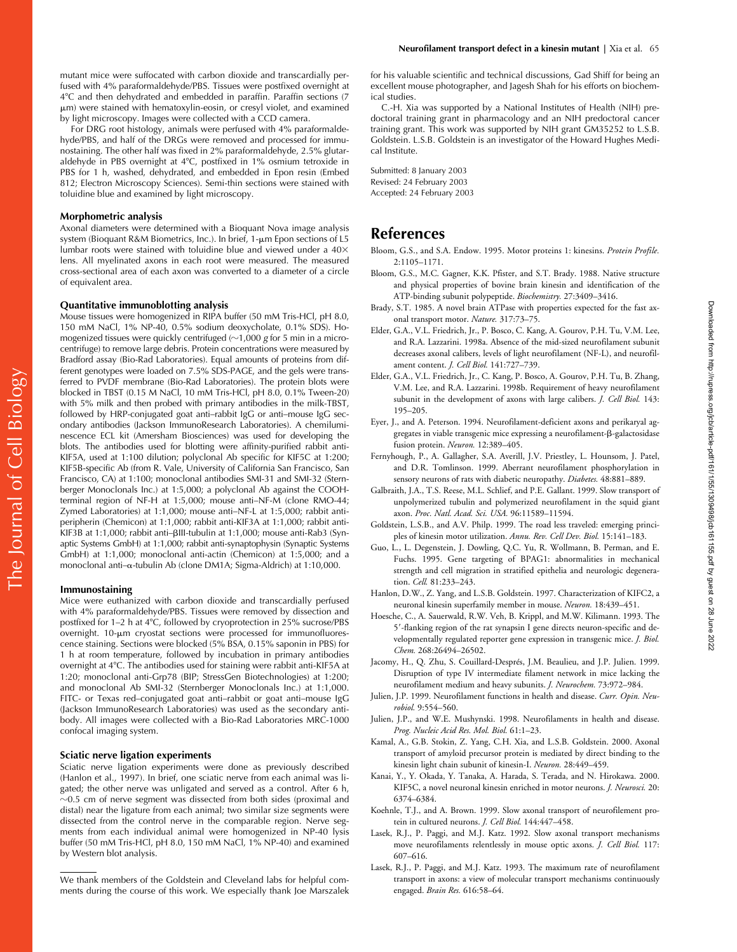mutant mice were suffocated with carbon dioxide and transcardially perfused with 4% paraformaldehyde/PBS. Tissues were postfixed overnight at 4C and then dehydrated and embedded in paraffin. Paraffin sections (7 m) were stained with hematoxylin-eosin, or cresyl violet, and examined by light microscopy. Images were collected with a CCD camera.

For DRG root histology, animals were perfused with 4% paraformaldehyde/PBS, and half of the DRGs were removed and processed for immunostaining. The other half was fixed in 2% paraformaldehyde, 2.5% glutaraldehyde in PBS overnight at 4°C, postfixed in 1% osmium tetroxide in PBS for 1 h, washed, dehydrated, and embedded in Epon resin (Embed 812; Electron Microscopy Sciences). Semi-thin sections were stained with toluidine blue and examined by light microscopy.

#### **Morphometric analysis**

Axonal diameters were determined with a Bioquant Nova image analysis system (Bioquant R&M Biometrics, Inc.). In brief, 1-µm Epon sections of L5 lumbar roots were stained with toluidine blue and viewed under a 40× lens. All myelinated axons in each root were measured. The measured cross-sectional area of each axon was converted to a diameter of a circle of equivalent area.

#### **Quantitative immunoblotting analysis**

Mouse tissues were homogenized in RIPA buffer (50 mM Tris-HCl, pH 8.0, 150 mM NaCl, 1% NP-40, 0.5% sodium deoxycholate, 0.1% SDS). Homogenized tissues were quickly centrifuged ( $\sim$ 1,000 *g* for 5 min in a microcentrifuge) to remove large debris. Protein concentrations were measured by Bradford assay (Bio-Rad Laboratories). Equal amounts of proteins from different genotypes were loaded on 7.5% SDS-PAGE, and the gels were transferred to PVDF membrane (Bio-Rad Laboratories). The protein blots were blocked in TBST (0.15 M NaCl, 10 mM Tris-HCl, pH 8.0, 0.1% Tween-20) with 5% milk and then probed with primary antibodies in the milk-TBST, followed by HRP-conjugated goat anti–rabbit IgG or anti–mouse IgG secondary antibodies (Jackson ImmunoResearch Laboratories). A chemiluminescence ECL kit (Amersham Biosciences) was used for developing the blots. The antibodies used for blotting were affinity-purified rabbit anti-KIF5A, used at 1:100 dilution; polyclonal Ab specific for KIF5C at 1:200; KIF5B-specific Ab (from R. Vale, University of California San Francisco, San Francisco, CA) at 1:100; monoclonal antibodies SMI-31 and SMI-32 (Sternberger Monoclonals Inc.) at 1:5,000; a polyclonal Ab against the COOHterminal region of NF-H at 1:5,000; mouse anti–NF-M (clone RMO-44; Zymed Laboratories) at 1:1,000; mouse anti–NF-L at 1:5,000; rabbit antiperipherin (Chemicon) at 1:1,000; rabbit anti-KIF3A at 1:1,000; rabbit anti-KIF3B at 1:1,000; rabbit anti-BIII-tubulin at 1:1,000; mouse anti-Rab3 (Synaptic Systems GmbH) at 1:1,000; rabbit anti-synaptophysin (Synaptic Systems GmbH) at 1:1,000; monoclonal anti-actin (Chemicon) at 1:5,000; and a monoclonal anti- $\alpha$ -tubulin Ab (clone DM1A; Sigma-Aldrich) at 1:10,000.

#### **Immunostaining**

The Journal of Cell Biology

The Journal of Cell Biology

Mice were euthanized with carbon dioxide and transcardially perfused with 4% paraformaldehyde/PBS. Tissues were removed by dissection and postfixed for 1–2 h at 4°C, followed by cryoprotection in 25% sucrose/PBS overnight.  $10$ - $\mu$ m cryostat sections were processed for immunofluorescence staining. Sections were blocked (5% BSA, 0.15% saponin in PBS) for 1 h at room temperature, followed by incubation in primary antibodies overnight at 4C. The antibodies used for staining were rabbit anti-KIF5A at 1:20; monoclonal anti-Grp78 (BIP; StressGen Biotechnologies) at 1:200; and monoclonal Ab SMI-32 (Sternberger Monoclonals Inc.) at 1:1,000. FITC- or Texas red–conjugated goat anti–rabbit or goat anti–mouse IgG (Jackson ImmunoResearch Laboratories) was used as the secondary antibody. All images were collected with a Bio-Rad Laboratories MRC-1000 confocal imaging system.

#### **Sciatic nerve ligation experiments**

Sciatic nerve ligation experiments were done as previously described (Hanlon et al., 1997). In brief, one sciatic nerve from each animal was ligated; the other nerve was unligated and served as a control. After 6 h,  $\sim$ 0.5 cm of nerve segment was dissected from both sides (proximal and distal) near the ligature from each animal; two similar size segments were dissected from the control nerve in the comparable region. Nerve segments from each individual animal were homogenized in NP-40 lysis buffer (50 mM Tris-HCl, pH 8.0, 150 mM NaCl, 1% NP-40) and examined by Western blot analysis.

We thank members of the Goldstein and Cleveland labs for helpful comments during the course of this work. We especially thank Joe Marszalek for his valuable scientific and technical discussions, Gad Shiff for being an excellent mouse photographer, and Jagesh Shah for his efforts on biochemical studies.

C.-H. Xia was supported by a National Institutes of Health (NIH) predoctoral training grant in pharmacology and an NIH predoctoral cancer training grant. This work was supported by NIH grant GM35252 to L.S.B. Goldstein. L.S.B. Goldstein is an investigator of the Howard Hughes Medical Institute.

Submitted: 8 January 2003 Revised: 24 February 2003 Accepted: 24 February 2003

## **References**

- Bloom, G.S., and S.A. Endow. 1995. Motor proteins 1: kinesins. *Protein Profile.* 2:1105–1171.
- Bloom, G.S., M.C. Gagner, K.K. Pfister, and S.T. Brady. 1988. Native structure and physical properties of bovine brain kinesin and identification of the ATP-binding subunit polypeptide. *Biochemistry.* 27:3409–3416.
- Brady, S.T. 1985. A novel brain ATPase with properties expected for the fast axonal transport motor. *Nature.* 317:73–75.
- Elder, G.A., V.L. Friedrich, Jr., P. Bosco, C. Kang, A. Gourov, P.H. Tu, V.M. Lee, and R.A. Lazzarini. 1998a. Absence of the mid-sized neurofilament subunit decreases axonal calibers, levels of light neurofilament (NF-L), and neurofilament content. *J. Cell Biol.* 141:727–739.
- Elder, G.A., V.L. Friedrich, Jr., C. Kang, P. Bosco, A. Gourov, P.H. Tu, B. Zhang, V.M. Lee, and R.A. Lazzarini. 1998b. Requirement of heavy neurofilament subunit in the development of axons with large calibers. *J. Cell Biol.* 143: 195–205.
- Eyer, J., and A. Peterson. 1994. Neurofilament-deficient axons and perikaryal aggregates in viable transgenic mice expressing a neurofilament- $\beta$ -galactosidase fusion protein. *Neuron.* 12:389–405.
- Fernyhough, P., A. Gallagher, S.A. Averill, J.V. Priestley, L. Hounsom, J. Patel, and D.R. Tomlinson. 1999. Aberrant neurofilament phosphorylation in sensory neurons of rats with diabetic neuropathy. *Diabetes.* 48:881–889.
- Galbraith, J.A., T.S. Reese, M.L. Schlief, and P.E. Gallant. 1999. Slow transport of unpolymerized tubulin and polymerized neurofilament in the squid giant axon. *Proc. Natl. Acad. Sci. USA.* 96:11589–11594.
- Goldstein, L.S.B., and A.V. Philp. 1999. The road less traveled: emerging principles of kinesin motor utilization. *Annu. Rev. Cell Dev. Biol.* 15:141–183.
- Guo, L., L. Degenstein, J. Dowling, Q.C. Yu, R. Wollmann, B. Perman, and E. Fuchs. 1995. Gene targeting of BPAG1: abnormalities in mechanical strength and cell migration in stratified epithelia and neurologic degeneration. *Cell.* 81:233–243.
- Hanlon, D.W., Z. Yang, and L.S.B. Goldstein. 1997. Characterization of KIFC2, a neuronal kinesin superfamily member in mouse. *Neuron.* 18:439–451.
- Hoesche, C., A. Sauerwald, R.W. Veh, B. Krippl, and M.W. Kilimann. 1993. The 5--flanking region of the rat synapsin I gene directs neuron-specific and developmentally regulated reporter gene expression in transgenic mice. *J. Biol. Chem.* 268:26494–26502.
- Jacomy, H., Q. Zhu, S. Couillard-Després, J.M. Beaulieu, and J.P. Julien. 1999. Disruption of type IV intermediate filament network in mice lacking the neurofilament medium and heavy subunits. *J. Neurochem.* 73:972–984.
- Julien, J.P. 1999. Neurofilament functions in health and disease. *Curr. Opin. Neurobiol.* 9:554–560.
- Julien, J.P., and W.E. Mushynski. 1998. Neurofilaments in health and disease. *Prog. Nucleic Acid Res. Mol. Biol.* 61:1–23.
- Kamal, A., G.B. Stokin, Z. Yang, C.H. Xia, and L.S.B. Goldstein. 2000. Axonal transport of amyloid precursor protein is mediated by direct binding to the kinesin light chain subunit of kinesin-I. *Neuron.* 28:449–459.
- Kanai, Y., Y. Okada, Y. Tanaka, A. Harada, S. Terada, and N. Hirokawa. 2000. KIF5C, a novel neuronal kinesin enriched in motor neurons. *J. Neurosci.* 20: 6374–6384.
- Koehnle, T.J., and A. Brown. 1999. Slow axonal transport of neurofilement protein in cultured neurons. *J. Cell Biol.* 144:447–458.
- Lasek, R.J., P. Paggi, and M.J. Katz. 1992. Slow axonal transport mechanisms move neurofilaments relentlessly in mouse optic axons. *J. Cell Biol.* 117: 607–616.
- Lasek, R.J., P. Paggi, and M.J. Katz. 1993. The maximum rate of neurofilament transport in axons: a view of molecular transport mechanisms continuously engaged. *Brain Res.* 616:58–64.